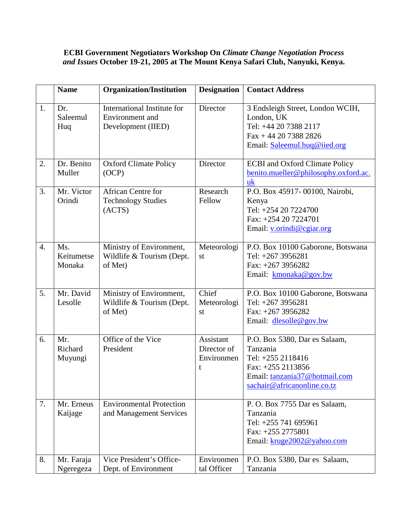## **ECBI Government Negotiators Workshop On** *Climate Change Negotiation Process and Issues* **October 19-21, 2005 at The Mount Kenya Safari Club, Nanyuki, Kenya.**

|                  | <b>Name</b>                 | <b>Organization/Institution</b>                                      | <b>Designation</b>                          | <b>Contact Address</b>                                                                                                                              |
|------------------|-----------------------------|----------------------------------------------------------------------|---------------------------------------------|-----------------------------------------------------------------------------------------------------------------------------------------------------|
| 1.               | Dr.<br>Saleemul<br>Huq      | International Institute for<br>Environment and<br>Development (IIED) | Director                                    | 3 Endsleigh Street, London WCIH,<br>London, UK<br>Tel: +44 20 7388 2117<br>$Fax + 44 20 7388 2826$<br>Email: Saleemul.huq@iied.org                  |
| 2.               | Dr. Benito<br>Muller        | <b>Oxford Climate Policy</b><br>(OCP)                                | Director                                    | <b>ECBI</b> and Oxford Climate Policy<br>benito.mueller@philosophy.oxford.ac.<br>uk                                                                 |
| 3.               | Mr. Victor<br>Orindi        | <b>African Centre for</b><br><b>Technology Studies</b><br>(ACTS)     | Research<br>Fellow                          | P.O. Box 45917-00100, Nairobi,<br>Kenya<br>Tel: +254 20 7224700<br>Fax: +254 20 7224701<br>Email: v.orindi@cgiar.org                                |
| $\overline{4}$ . | Ms.<br>Keitumetse<br>Monaka | Ministry of Environment,<br>Wildlife & Tourism (Dept.<br>of Met)     | Meteorologi<br>st                           | P.O. Box 10100 Gaborone, Botswana<br>Tel: +267 3956281<br>Fax: +267 3956282<br>Email: kmonaka@gov.bw                                                |
| 5.               | Mr. David<br>Lesolle        | Ministry of Environment,<br>Wildlife & Tourism (Dept.<br>of Met)     | Chief<br>Meteorologi<br>st                  | P.O. Box 10100 Gaborone, Botswana<br>Tel: +267 3956281<br>Fax: $+267$ 3956282<br>Email: dlesolle@gov.bw                                             |
| 6.               | Mr.<br>Richard<br>Muyungi   | Office of the Vice<br>President                                      | Assistant<br>Director of<br>Environmen<br>t | P.O. Box 5380, Dar es Salaam,<br>Tanzania<br>Tel: +255 2118416<br>Fax: +255 2113856<br>Email: tanzania37@hotmail.com<br>sachair@africanonline.co.tz |
| 7.               | Mr. Erneus<br>Kaijage       | <b>Environmental Protection</b><br>and Management Services           |                                             | P. O. Box 7755 Dar es Salaam,<br>Tanzania<br>Tel: +255 741 695961<br>Fax: $+255$ 2775801<br>Email: kruge2002@yahoo.com                              |
| 8.               | Mr. Faraja<br>Ngeregeza     | Vice President's Office-<br>Dept. of Environment                     | Environmen<br>tal Officer                   | P.O. Box 5380, Dar es Salaam,<br>Tanzania                                                                                                           |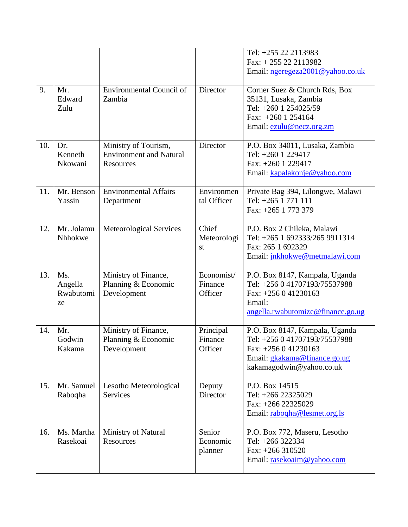|     |                                   |                                                                     |                                  | Tel: +255 22 2113983<br>Fax: $+255222113982$<br>Email: ngeregeza2001@yahoo.co.uk                                                                    |
|-----|-----------------------------------|---------------------------------------------------------------------|----------------------------------|-----------------------------------------------------------------------------------------------------------------------------------------------------|
| 9.  | Mr.<br>Edward<br>Zulu             | <b>Environmental Council of</b><br>Zambia                           | Director                         | Corner Suez & Church Rds, Box<br>35131, Lusaka, Zambia<br>Tel: +260 1 254025/59<br>Fax: $+260$ 1 254164<br>Email: ezulu@necz.org.zm                 |
| 10. | Dr.<br>Kenneth<br>Nkowani         | Ministry of Tourism,<br><b>Environment and Natural</b><br>Resources | Director                         | P.O. Box 34011, Lusaka, Zambia<br>Tel: +260 1 229417<br>Fax: +260 1 229417<br>Email: kapalakonje@yahoo.com                                          |
| 11. | Mr. Benson<br>Yassin              | <b>Environmental Affairs</b><br>Department                          | Environmen<br>tal Officer        | Private Bag 394, Lilongwe, Malawi<br>Tel: +265 1 771 111<br>Fax: +265 1 773 379                                                                     |
| 12. | Mr. Jolamu<br>Nhhokwe             | Meteorological Services                                             | Chief<br>Meteorologi<br>st       | P.O. Box 2 Chileka, Malawi<br>Tel: +265 1 692333/265 9911314<br>Fax: 265 1 692329<br>Email: jnkhokwe@metmalawi.com                                  |
| 13. | Ms.<br>Angella<br>Rwabutomi<br>ze | Ministry of Finance,<br>Planning & Economic<br>Development          | Economist/<br>Finance<br>Officer | P.O. Box 8147, Kampala, Uganda<br>Tel: +256 0 41707193/75537988<br>Fax: $+256041230163$<br>Email:<br>angella.rwabutomize@finance.go.ug              |
| 14. | Mr.<br>Godwin<br>Kakama           | Ministry of Finance,<br>Planning & Economic<br>Development          | Principal<br>Finance<br>Officer  | P.O. Box 8147, Kampala, Uganda<br>Tel: +256 0 41707193/75537988<br>Fax: +256 0 41230163<br>Email: gkakama@finance.go.ug<br>kakamagodwin@yahoo.co.uk |
| 15. | Mr. Samuel<br>Raboqha             | Lesotho Meteorological<br><b>Services</b>                           | Deputy<br>Director               | P.O. Box 14515<br>Tel: +266 22325029<br>Fax: +266 22325029<br>Email: rabogha@lesmet.org.ls                                                          |
| 16. | Ms. Martha<br>Rasekoai            | Ministry of Natural<br>Resources                                    | Senior<br>Economic<br>planner    | P.O. Box 772, Maseru, Lesotho<br>Tel: +266 322334<br>Fax: +266 310520<br>Email: rasekoaim@yahoo.com                                                 |